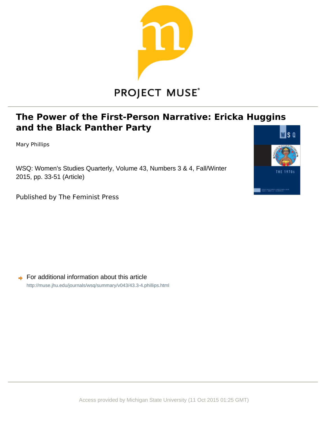

# **PROJECT MUSE®**

## The Power of the First-Person Narrative: Ericka Huggins and the Black Panther Party

Mary Phillips

WSQ: Women's Studies Quarterly, Volume 43, Numbers 3 & 4, Fall/Winter 2015, pp. 33-51 (Article)

Published by The Feminist Press



 $\rightarrow$  For additional information about this article <http://muse.jhu.edu/journals/wsq/summary/v043/43.3-4.phillips.html>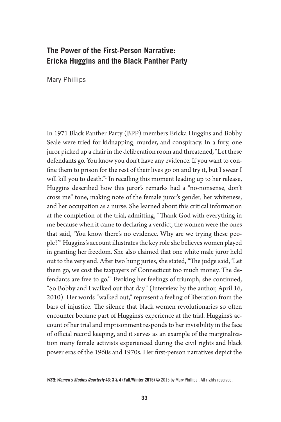### **The Power of the First-Person Narrative: Ericka Huggins and the Black Panther Party**

Mary Phillips

In 1971 Black Panther Party (BPP) members Ericka Huggins and Bobby Seale were tried for kidnapping, murder, and conspiracy. In a fury, one juror picked up a chair in the deliberation room and threatened, "Let these defendants go. You know you don't have any evidence. If you want to confine them to prison for the rest of their lives go on and try it, but I swear I will kill you to death."1 In recalling this moment leading up to her release, Huggins described how this juror's remarks had a "no-nonsense, don't cross me" tone, making note of the female juror's gender, her whiteness, and her occupation as a nurse. She learned about this critical information at the completion of the trial, admitting, "Thank God with everything in me because when it came to declaring a verdict, the women were the ones that said, 'You know there's no evidence. Why are we trying these people?'" Huggins's account illustrates the key role she believes women played in granting her freedom. She also claimed that one white male juror held out to the very end. After two hung juries, she stated, "The judge said, 'Let them go, we cost the taxpayers of Connecticut too much money. The defendants are free to go.'" Evoking her feelings of triumph, she continued, "So Bobby and I walked out that day" (Interview by the author, April 16, 2010). Her words "walked out," represent a feeling of liberation from the bars of injustice. The silence that black women revolutionaries so often encounter became part of Huggins's experience at the trial. Huggins's account of her trial and imprisonment responds to her invisibility in the face of official record keeping, and it serves as an example of the marginalization many female activists experienced during the civil rights and black power eras of the 1960s and 1970s. Her first-person narratives depict the

*WSQ: Women's Studies Quarterly* **43: 3 & 4 (Fall/Winter 2015)** © 2015 by Mary Phillips . All rights reserved.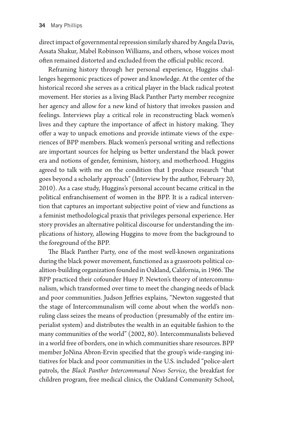direct impact of governmental repression similarly shared by Angela Davis, Assata Shakur, Mabel Robinson Williams, and others, whose voices most often remained distorted and excluded from the official public record.

Reframing history through her personal experience, Huggins challenges hegemonic practices of power and knowledge. At the center of the historical record she serves as a critical player in the black radical protest movement. Her stories as a living Black Panther Party member recognize her agency and allow for a new kind of history that invokes passion and feelings. Interviews play a critical role in reconstructing black women's lives and they capture the importance of affect in history making. They offer a way to unpack emotions and provide intimate views of the experiences of BPP members. Black women's personal writing and reflections are important sources for helping us better understand the black power era and notions of gender, feminism, history, and motherhood. Huggins agreed to talk with me on the condition that I produce research "that goes beyond a scholarly approach" (Interview by the author, February 20, 2010). As a case study, Huggins's personal account became critical in the political enfranchisement of women in the BPP. It is a radical intervention that captures an important subjective point of view and functions as a feminist methodological praxis that privileges personal experience. Her story provides an alternative political discourse for understanding the implications of history, allowing Huggins to move from the background to the foreground of the BPP.

The Black Panther Party, one of the most well-known organizations during the black power movement, functioned as a grassroots political coalition-building organization founded in Oakland, California, in 1966. The BPP practiced their cofounder Huey P. Newton's theory of intercommunalism, which transformed over time to meet the changing needs of black and poor communities. Judson Jeffries explains, "Newton suggested that the stage of Intercommunalism will come about when the world's nonruling class seizes the means of production (presumably of the entire imperialist system) and distributes the wealth in an equitable fashion to the many communities of the world" (2002, 80). Intercommunalists believed in a world free of borders, one in which communities share resources. BPP member JoNina Abron-Ervin specified that the group's wide-ranging initiatives for black and poor communities in the U.S. included "police-alert patrols, the *Black Panther Intercommunal News Service*, the breakfast for children program, free medical clinics, the Oakland Community School,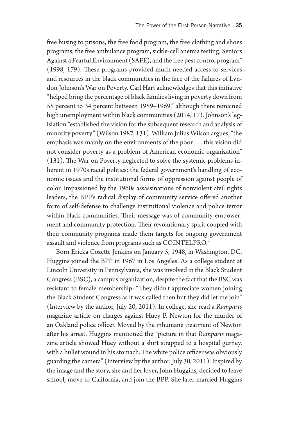free busing to prisons, the free food program, the free clothing and shoes programs, the free ambulance program, sickle-cell anemia testing, Seniors Against a Fearful Environment (SAFE), and the free pest control program" (1998, 179). These programs provided much-needed access to services and resources in the black communities in the face of the failures of Lyndon Johnson's War on Poverty. Carl Hart acknowledges that this initiative "helped bring the percentage of black families living in poverty down from 55 percent to 34 percent between 1959–1969," although there remained high unemployment within black communities (2014, 17). Johnson's legislation "established the vision for the subsequent research and analysis of minority poverty" (Wilson 1987, 131). William Julius Wilson argues, "the emphasis was mainly on the environments of the poor . . . this vision did not consider poverty as a problem of American economic organization" (131). The War on Poverty neglected to solve the systemic problems inherent in 1970s racial politics: the federal government's handling of economic issues and the institutional forms of oppression against people of color. Impassioned by the 1960s assassinations of nonviolent civil rights leaders, the BPP's radical display of community service offered another form of self-defense to challenge institutional violence and police terror within black communities. Their message was of community empowerment and community protection. Their revolutionary spirit coupled with their community programs made them targets for ongoing government assault and violence from programs such as COINTELPRO.<sup>2</sup>

Born Ericka Cozette Jenkins on January 5, 1948, in Washington, DC, Huggins joined the BPP in 1967 in Los Angeles. As a college student at Lincoln University in Pennsylvania, she was involved in the Black Student Congress (BSC), a campus organization, despite the fact that the BSC was resistant to female membership: "They didn't appreciate women joining the Black Student Congress as it was called then but they did let me join" (Interview by the author, July 20, 2011). In college, she read a *Ramparts* magazine article on charges against Huey P. Newton for the murder of an Oakland police officer. Moved by the inhumane treatment of Newton after his arrest, Huggins mentioned the "picture in that *Ramparts* magazine article showed Huey without a shirt strapped to a hospital gurney, with a bullet wound in his stomach. The white police officer was obviously guarding the camera" (Interview by the author, July 30, 2011). Inspired by the image and the story, she and her lover, John Huggins, decided to leave school, move to California, and join the BPP. She later married Huggins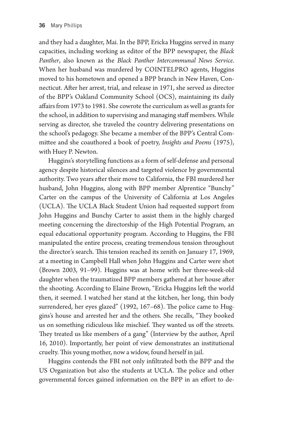and they had a daughter, Mai. In the BPP, Ericka Huggins served in many capacities, including working as editor of the BPP newspaper, the *Black Panther*, also known as the *Black Panther Intercommunal News Service*. When her husband was murdered by COINTELPRO agents, Huggins moved to his hometown and opened a BPP branch in New Haven, Connecticut. After her arrest, trial, and release in 1971, she served as director of the BPP's Oakland Community School (OCS), maintaining its daily affairs from 1973 to 1981. She cowrote the curriculum as well as grants for the school, in addition to supervising and managing staff members. While serving as director, she traveled the country delivering presentations on the school's pedagogy. She became a member of the BPP's Central Committee and she coauthored a book of poetry, *Insights and Poems* (1975), with Huey P. Newton.

Huggins's storytelling functions as a form of self-defense and personal agency despite historical silences and targeted violence by governmental authority. Two years after their move to California, the FBI murdered her husband, John Huggins, along with BPP member Alprentice "Bunchy" Carter on the campus of the University of California at Los Angeles (UCLA). The UCLA Black Student Union had requested support from John Huggins and Bunchy Carter to assist them in the highly charged meeting concerning the directorship of the High Potential Program, an equal educational opportunity program. According to Huggins, the FBI manipulated the entire process, creating tremendous tension throughout the director's search. This tension reached its zenith on January 17, 1969, at a meeting in Campbell Hall when John Huggins and Carter were shot (Brown 2003, 91–99). Huggins was at home with her three-week-old daughter when the traumatized BPP members gathered at her house after the shooting. According to Elaine Brown, "Ericka Huggins left the world then, it seemed. I watched her stand at the kitchen, her long, thin body surrendered, her eyes glazed" (1992, 167–68). The police came to Huggins's house and arrested her and the others. She recalls, "They booked us on something ridiculous like mischief. They wanted us off the streets. They treated us like members of a gang" (Interview by the author, April 16, 2010). Importantly, her point of view demonstrates an institutional cruelty. This young mother, now a widow, found herself in jail.

Huggins contends the FBI not only infiltrated both the BPP and the US Organization but also the students at UCLA. The police and other governmental forces gained information on the BPP in an effort to de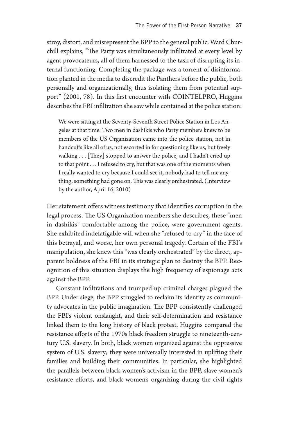stroy, distort, and misrepresent the BPP to the general public. Ward Churchill explains, "The Party was simultaneously infiltrated at every level by agent provocateurs, all of them harnessed to the task of disrupting its internal functioning. Completing the package was a torrent of disinformation planted in the media to discredit the Panthers before the public, both personally and organizationally, thus isolating them from potential support" (2001, 78). In this first encounter with COINTELPRO, Huggins describes the FBI infiltration she saw while contained at the police station:

We were sitting at the Seventy-Seventh Street Police Station in Los Angeles at that time. Two men in dashikis who Party members knew to be members of the US Organization came into the police station, not in handcuffs like all of us, not escorted in for questioning like us, but freely walking . . . [They] stopped to answer the police, and I hadn't cried up to that point . . . I refused to cry, but that was one of the moments when I really wanted to cry because I could see it, nobody had to tell me anything, something had gone on. This was clearly orchestrated. (Interview by the author, April 16, 2010)

Her statement offers witness testimony that identifies corruption in the legal process. The US Organization members she describes, these "men in dashikis" comfortable among the police, were government agents. She exhibited indefatigable will when she "refused to cry" in the face of this betrayal, and worse, her own personal tragedy. Certain of the FBI's manipulation, she knew this "was clearly orchestrated" by the direct, apparent boldness of the FBI in its strategic plan to destroy the BPP. Recognition of this situation displays the high frequency of espionage acts against the BPP.

Constant infiltrations and trumped-up criminal charges plagued the BPP. Under siege, the BPP struggled to reclaim its identity as community advocates in the public imagination. The BPP consistently challenged the FBI's violent onslaught, and their self-determination and resistance linked them to the long history of black protest. Huggins compared the resistance efforts of the 1970s black freedom struggle to nineteenth-century U.S. slavery. In both, black women organized against the oppressive system of U.S. slavery; they were universally interested in uplifting their families and building their communities. In particular, she highlighted the parallels between black women's activism in the BPP, slave women's resistance efforts, and black women's organizing during the civil rights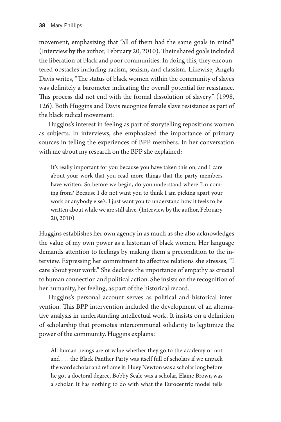movement, emphasizing that "all of them had the same goals in mind" (Interview by the author, February 20, 2010). Their shared goals included the liberation of black and poor communities. In doing this, they encountered obstacles including racism, sexism, and classism. Likewise, Angela Davis writes, "The status of black women within the community of slaves was definitely a barometer indicating the overall potential for resistance. This process did not end with the formal dissolution of slavery" (1998, 126). Both Huggins and Davis recognize female slave resistance as part of the black radical movement.

Huggins's interest in feeling as part of storytelling repositions women as subjects. In interviews, she emphasized the importance of primary sources in telling the experiences of BPP members. In her conversation with me about my research on the BPP she explained:

It's really important for you because you have taken this on, and I care about your work that you read more things that the party members have written. So before we begin, do you understand where I'm coming from? Because I do not want you to think I am picking apart your work or anybody else's. I just want you to understand how it feels to be written about while we are still alive. (Interview by the author, February 20, 2010)

Huggins establishes her own agency in as much as she also acknowledges the value of my own power as a historian of black women. Her language demands attention to feelings by making them a precondition to the interview. Expressing her commitment to affective relations she stresses, "I care about your work." She declares the importance of empathy as crucial to human connection and political action. She insists on the recognition of her humanity, her feeling, as part of the historical record.

Huggins's personal account serves as political and historical intervention. This BPP intervention included the development of an alternative analysis in understanding intellectual work. It insists on a definition of scholarship that promotes intercommunal solidarity to legitimize the power of the community. Huggins explains:

All human beings are of value whether they go to the academy or not and . . . the Black Panther Party was itself full of scholars if we unpack the word scholar and reframe it: Huey Newton was a scholar long before he got a doctoral degree, Bobby Seale was a scholar, Elaine Brown was a scholar. It has nothing to do with what the Eurocentric model tells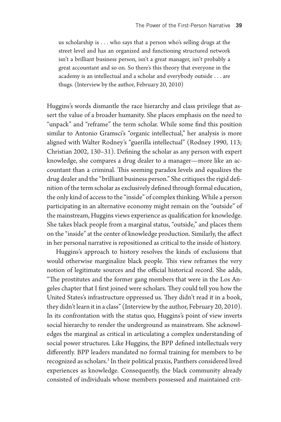us scholarship is . . . who says that a person who's selling drugs at the street level and has an organized and functioning structured network isn't a brilliant business person, isn't a great manager, isn't probably a great accountant and so on. So there's this theory that everyone in the academy is an intellectual and a scholar and everybody outside . . . are thugs. (Interview by the author, February 20, 2010)

Huggins's words dismantle the race hierarchy and class privilege that assert the value of a broader humanity. She places emphasis on the need to "unpack" and "reframe" the term scholar. While some find this position similar to Antonio Gramsci's "organic intellectual," her analysis is more aligned with Walter Rodney's "guerilla intellectual" (Rodney 1990, 113; Christian 2002, 130–31). Defining the scholar as any person with expert knowledge, she compares a drug dealer to a manager—more like an accountant than a criminal. This seeming paradox levels and equalizes the drug dealer and the "brilliant business person." She critiques the rigid definition of the term scholar as exclusively defined through formal education, the only kind of access to the "inside" of complex thinking. While a person participating in an alternative economy might remain on the "outside" of the mainstream, Huggins views experience as qualification for knowledge. She takes black people from a marginal status, "outside," and places them on the "inside" at the center of knowledge production. Similarly, the affect in her personal narrative is repositioned as critical to the inside of history.

Huggins's approach to history resolves the kinds of exclusions that would otherwise marginalize black people. This view reframes the very notion of legitimate sources and the official historical record. She adds, "The prostitutes and the former gang members that were in the Los Angeles chapter that I first joined were scholars. They could tell you how the United States's infrastructure oppressed us. They didn't read it in a book, they didn't learn it in a class" (Interview by the author, February 20, 2010). In its confrontation with the status quo, Huggins's point of view inverts social hierarchy to render the underground as mainstream. She acknowledges the marginal as critical in articulating a complex understanding of social power structures. Like Huggins, the BPP defined intellectuals very differently. BPP leaders mandated no formal training for members to be recognized as scholars.<sup>3</sup> In their political praxis, Panthers considered lived experiences as knowledge. Consequently, the black community already consisted of individuals whose members possessed and maintained crit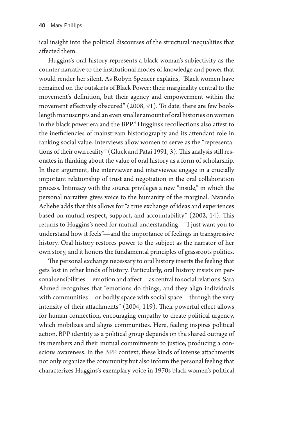ical insight into the political discourses of the structural inequalities that affected them.

Huggins's oral history represents a black woman's subjectivity as the counter narrative to the institutional modes of knowledge and power that would render her silent. As Robyn Spencer explains, "Black women have remained on the outskirts of Black Power: their marginality central to the movement's definition, but their agency and empowerment within the movement effectively obscured" (2008, 91). To date, there are few booklength manuscripts and an even smaller amount of oral histories on women in the black power era and the BPP.<sup>4</sup> Huggins's recollections also attest to the inefficiencies of mainstream historiography and its attendant role in ranking social value. Interviews allow women to serve as the "representations of their own reality" (Gluck and Patai 1991, 3). This analysis still resonates in thinking about the value of oral history as a form of scholarship. In their argument, the interviewer and interviewee engage in a crucially important relationship of trust and negotiation in the oral collaboration process. Intimacy with the source privileges a new "inside," in which the personal narrative gives voice to the humanity of the marginal. Nwando Achebe adds that this allows for "a true exchange of ideas and experiences based on mutual respect, support, and accountability" (2002, 14). This returns to Huggins's need for mutual understanding—"I just want you to understand how it feels"—and the importance of feelings in transgressive history. Oral history restores power to the subject as the narrator of her own story, and it honors the fundamental principles of grassroots politics.

The personal exchange necessary to oral history inserts the feeling that gets lost in other kinds of history. Particularly, oral history insists on personal sensibilities—emotion and affect—as central to social relations. Sara Ahmed recognizes that "emotions do things, and they align individuals with communities—or bodily space with social space—through the very intensity of their attachments" (2004, 119). Their powerful effect allows for human connection, encouraging empathy to create political urgency, which mobilizes and aligns communities. Here, feeling inspires political action. BPP identity as a political group depends on the shared outrage of its members and their mutual commitments to justice, producing a conscious awareness. In the BPP context, these kinds of intense attachments not only organize the community but also inform the personal feeling that characterizes Huggins's exemplary voice in 1970s black women's political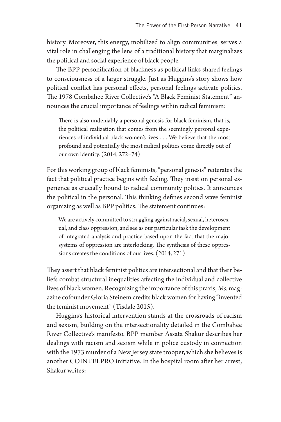history. Moreover, this energy, mobilized to align communities, serves a vital role in challenging the lens of a traditional history that marginalizes the political and social experience of black people.

The BPP personification of blackness as political links shared feelings to consciousness of a larger struggle. Just as Huggins's story shows how political conflict has personal effects, personal feelings activate politics. The 1978 Combahee River Collective's "A Black Feminist Statement" announces the crucial importance of feelings within radical feminism:

There is also undeniably a personal genesis for black feminism, that is, the political realization that comes from the seemingly personal experiences of individual black women's lives . . . We believe that the most profound and potentially the most radical politics come directly out of our own identity. (2014, 272–74)

For this working group of black feminists, "personal genesis" reiterates the fact that political practice begins with feeling. They insist on personal experience as crucially bound to radical community politics. It announces the political in the personal. This thinking defines second wave feminist organizing as well as BPP politics. The statement continues:

We are actively committed to struggling against racial, sexual, heterosexual, and class oppression, and see as our particular task the development of integrated analysis and practice based upon the fact that the major systems of oppression are interlocking. The synthesis of these oppressions creates the conditions of our lives. (2014, 271)

They assert that black feminist politics are intersectional and that their beliefs combat structural inequalities affecting the individual and collective lives of black women. Recognizing the importance of this praxis, *Ms.* magazine cofounder Gloria Steinem credits black women for having "invented the feminist movement" (Tisdale 2015).

Huggins's historical intervention stands at the crossroads of racism and sexism, building on the intersectionality detailed in the Combahee River Collective's manifesto. BPP member Assata Shakur describes her dealings with racism and sexism while in police custody in connection with the 1973 murder of a New Jersey state trooper, which she believes is another COINTELPRO initiative. In the hospital room after her arrest, Shakur writes: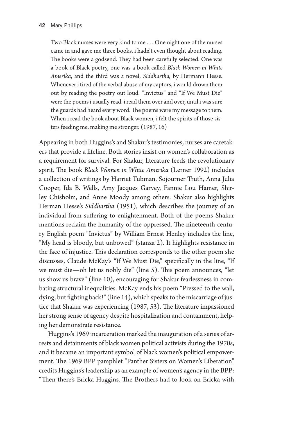Two Black nurses were very kind to me . . . One night one of the nurses came in and gave me three books. i hadn't even thought about reading. The books were a godsend. They had been carefully selected. One was a book of Black poetry, one was a book called *Black Women in White Amerika*, and the third was a novel, *Siddhartha,* by Hermann Hesse. Whenever i tired of the verbal abuse of my captors, i would drown them out by reading the poetry out loud. "Invictus" and "If We Must Die" were the poems i usually read. i read them over and over, until i was sure the guards had heard every word. The poems were my message to them. When i read the book about Black women, i felt the spirits of those sisters feeding me, making me stronger. (1987, 16)

Appearing in both Huggins's and Shakur's testimonies, nurses are caretakers that provide a lifeline. Both stories insist on women's collaboration as a requirement for survival. For Shakur, literature feeds the revolutionary spirit. The book *Black Women in White Amerika* (Lerner 1992) includes a collection of writings by Harriet Tubman, Sojourner Truth, Anna Julia Cooper, Ida B. Wells, Amy Jacques Garvey, Fannie Lou Hamer, Shirley Chisholm, and Anne Moody among others. Shakur also highlights Herman Hesse's *Siddhartha* (1951), which describes the journey of an individual from suffering to enlightenment. Both of the poems Shakur mentions reclaim the humanity of the oppressed. The nineteenth-century English poem "Invictus" by William Ernest Henley includes the line, "My head is bloody, but unbowed" (stanza 2). It highlights resistance in the face of injustice. This declaration corresponds to the other poem she discusses, Claude McKay's "If We Must Die," specifically in the line, "If we must die—oh let us nobly die" (line 5). This poem announces, "let us show us brave" (line 10), encouraging for Shakur fearlessness in combating structural inequalities. McKay ends his poem "Pressed to the wall, dying, but fighting back!" (line 14), which speaks to the miscarriage of justice that Shakur was experiencing (1987, 53). The literature impassioned her strong sense of agency despite hospitalization and containment, helping her demonstrate resistance.

Huggins's 1969 incarceration marked the inauguration of a series of arrests and detainments of black women political activists during the 1970s, and it became an important symbol of black women's political empowerment. The 1969 BPP pamphlet "Panther Sisters on Women's Liberation" credits Huggins's leadership as an example of women's agency in the BPP: "Then there's Ericka Huggins. The Brothers had to look on Ericka with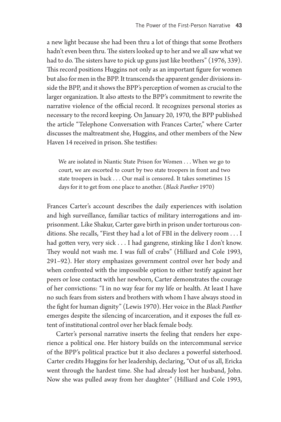a new light because she had been thru a lot of things that some Brothers hadn't even been thru. The sisters looked up to her and we all saw what we had to do. The sisters have to pick up guns just like brothers" (1976, 339). This record positions Huggins not only as an important figure for women but also for men in the BPP. It transcends the apparent gender divisions inside the BPP, and it shows the BPP's perception of women as crucial to the larger organization. It also attests to the BPP's commitment to rewrite the narrative violence of the official record. It recognizes personal stories as necessary to the record keeping. On January 20, 1970, the BPP published the article "Telephone Conversation with Frances Carter," where Carter discusses the maltreatment she, Huggins, and other members of the New Haven 14 received in prison. She testifies:

We are isolated in Niantic State Prison for Women . . . When we go to court, we are escorted to court by two state troopers in front and two state troopers in back . . . Our mail is censored. It takes sometimes 15 days for it to get from one place to another. (*Black Panther* 1970)

Frances Carter's account describes the daily experiences with isolation and high surveillance, familiar tactics of military interrogations and imprisonment. Like Shakur, Carter gave birth in prison under torturous conditions. She recalls, "First they had a lot of FBI in the delivery room . . . I had gotten very, very sick . . . I had gangrene, stinking like I don't know. They would not wash me. I was full of crabs" (Hilliard and Cole 1993, 291–92). Her story emphasizes government control over her body and when confronted with the impossible option to either testify against her peers or lose contact with her newborn, Carter demonstrates the courage of her convictions: "I in no way fear for my life or health. At least I have no such fears from sisters and brothers with whom I have always stood in the fight for human dignity" (Lewis 1970). Her voice in the *Black Panther* emerges despite the silencing of incarceration, and it exposes the full extent of institutional control over her black female body.

Carter's personal narrative inserts the feeling that renders her experience a political one. Her history builds on the intercommunal service of the BPP's political practice but it also declares a powerful sisterhood. Carter credits Huggins for her leadership, declaring, "Out of us all, Ericka went through the hardest time. She had already lost her husband, John. Now she was pulled away from her daughter" (Hilliard and Cole 1993,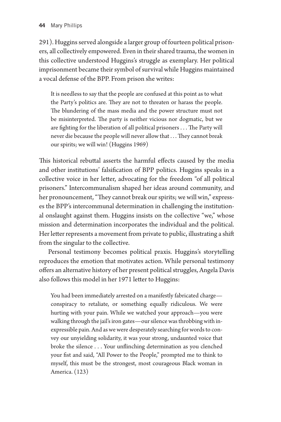291). Huggins served alongside a larger group of fourteen political prisoners, all collectively empowered. Even in their shared trauma, the women in this collective understood Huggins's struggle as exemplary. Her political imprisonment became their symbol of survival while Huggins maintained a vocal defense of the BPP. From prison she writes:

It is needless to say that the people are confused at this point as to what the Party's politics are. They are not to threaten or harass the people. The blundering of the mass media and the power structure must not be misinterpreted. The party is neither vicious nor dogmatic, but we are fighting for the liberation of all political prisoners . . . The Party will never die because the people will never allow that . . . They cannot break our spirits; we will win! (Huggins 1969)

This historical rebuttal asserts the harmful effects caused by the media and other institutions' falsification of BPP politics. Huggins speaks in a collective voice in her letter, advocating for the freedom "of all political prisoners." Intercommunalism shaped her ideas around community, and her pronouncement, "They cannot break our spirits; we will win," expresses the BPP's intercommunal determination in challenging the institutional onslaught against them. Huggins insists on the collective "we," whose mission and determination incorporates the individual and the political. Her letter represents a movement from private to public, illustrating a shift from the singular to the collective.

Personal testimony becomes political praxis. Huggins's storytelling reproduces the emotion that motivates action. While personal testimony offers an alternative history of her present political struggles, Angela Davis also follows this model in her 1971 letter to Huggins:

You had been immediately arrested on a manifestly fabricated charge conspiracy to retaliate, or something equally ridiculous. We were hurting with your pain. While we watched your approach—you were walking through the jail's iron gates—our silence was throbbing with inexpressible pain. And as we were desperately searching for words to convey our unyielding solidarity, it was your strong, undaunted voice that broke the silence . . . Your unflinching determination as you clenched your fist and said, "All Power to the People," prompted me to think to myself, this must be the strongest, most courageous Black woman in America. (123)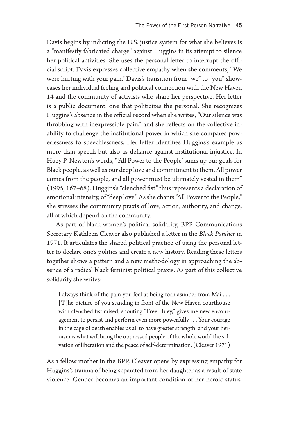Davis begins by indicting the U.S. justice system for what she believes is a "manifestly fabricated charge" against Huggins in its attempt to silence her political activities. She uses the personal letter to interrupt the official script. Davis expresses collective empathy when she comments, "We were hurting with your pain." Davis's transition from "we" to "you" showcases her individual feeling and political connection with the New Haven 14 and the community of activists who share her perspective. Her letter is a public document, one that politicizes the personal. She recognizes Huggins's absence in the official record when she writes, "Our silence was throbbing with inexpressible pain," and she reflects on the collective inability to challenge the institutional power in which she compares powerlessness to speechlessness. Her letter identifies Huggins's example as more than speech but also as defiance against institutional injustice. In Huey P. Newton's words, "'All Power to the People' sums up our goals for Black people, as well as our deep love and commitment to them. All power comes from the people, and all power must be ultimately vested in them" (1995, 167–68). Huggins's "clenched fist" thus represents a declaration of emotional intensity, of "deep love." As she chants "All Power to the People," she stresses the community praxis of love, action, authority, and change, all of which depend on the community.

As part of black women's political solidarity, BPP Communications Secretary Kathleen Cleaver also published a letter in the *Black Panther* in 1971. It articulates the shared political practice of using the personal letter to declare one's politics and create a new history. Reading these letters together shows a pattern and a new methodology in approaching the absence of a radical black feminist political praxis. As part of this collective solidarity she writes:

I always think of the pain you feel at being torn asunder from Mai . . . [T]he picture of you standing in front of the New Haven courthouse with clenched fist raised, shouting "Free Huey," gives me new encouragement to persist and perform even more powerfully . . . Your courage in the cage of death enables us all to have greater strength, and your heroism is what will bring the oppressed people of the whole world the salvation of liberation and the peace of self-determination. (Cleaver 1971)

As a fellow mother in the BPP, Cleaver opens by expressing empathy for Huggins's trauma of being separated from her daughter as a result of state violence. Gender becomes an important condition of her heroic status.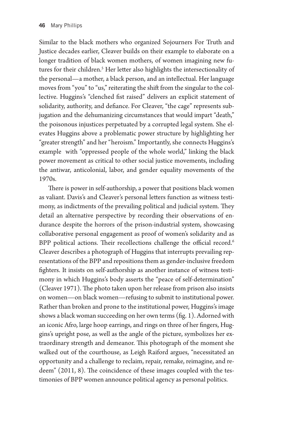Similar to the black mothers who organized Sojourners For Truth and Justice decades earlier, Cleaver builds on their example to elaborate on a longer tradition of black women mothers, of women imagining new futures for their children.<sup>5</sup> Her letter also highlights the intersectionality of the personal—a mother, a black person, and an intellectual. Her language moves from "you" to "us," reiterating the shift from the singular to the collective. Huggins's "clenched fist raised" delivers an explicit statement of solidarity, authority, and defiance. For Cleaver, "the cage" represents subjugation and the dehumanizing circumstances that would impart "death," the poisonous injustices perpetuated by a corrupted legal system. She elevates Huggins above a problematic power structure by highlighting her "greater strength" and her "heroism." Importantly, she connects Huggins's example with "oppressed people of the whole world," linking the black power movement as critical to other social justice movements, including the antiwar, anticolonial, labor, and gender equality movements of the 1970s.

There is power in self-authorship, a power that positions black women as valiant. Davis's and Cleaver's personal letters function as witness testimony, as indictments of the prevailing political and judicial system. They detail an alternative perspective by recording their observations of endurance despite the horrors of the prison-industrial system, showcasing collaborative personal engagement as proof of women's solidarity and as BPP political actions. Their recollections challenge the official record.<sup>6</sup> Cleaver describes a photograph of Huggins that interrupts prevailing representations of the BPP and repositions them as gender-inclusive freedom fighters. It insists on self-authorship as another instance of witness testimony in which Huggins's body asserts the "peace of self-determination" (Cleaver 1971). The photo taken upon her release from prison also insists on women—on black women—refusing to submit to institutional power. Rather than broken and prone to the institutional power, Huggins's image shows a black woman succeeding on her own terms (fig. 1). Adorned with an iconic Afro, large hoop earrings, and rings on three of her fingers, Huggins's upright pose, as well as the angle of the picture, symbolizes her extraordinary strength and demeanor. This photograph of the moment she walked out of the courthouse, as Leigh Raiford argues, "necessitated an opportunity and a challenge to reclaim, repair, remake, reimagine, and redeem" (2011, 8). The coincidence of these images coupled with the testimonies of BPP women announce political agency as personal politics.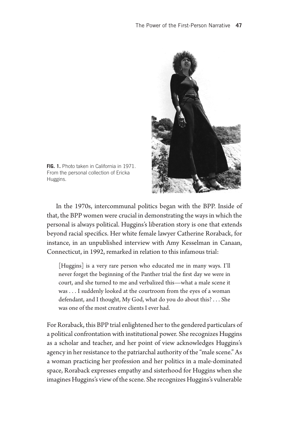

**FIG. 1.** Photo taken in California in 1971. From the personal collection of Ericka Huggins.

In the 1970s, intercommunal politics began with the BPP. Inside of that, the BPP women were crucial in demonstrating the ways in which the personal is always political. Huggins's liberation story is one that extends beyond racial specifics. Her white female lawyer Catherine Roraback, for instance, in an unpublished interview with Amy Kesselman in Canaan, Connecticut, in 1992, remarked in relation to this infamous trial:

[Huggins] is a very rare person who educated me in many ways. I'll never forget the beginning of the Panther trial the first day we were in court, and she turned to me and verbalized this—what a male scene it was . . . I suddenly looked at the courtroom from the eyes of a woman defendant, and I thought, My God, what do you do about this? . . . She was one of the most creative clients I ever had.

For Roraback, this BPP trial enlightened her to the gendered particulars of a political confrontation with institutional power. She recognizes Huggins as a scholar and teacher, and her point of view acknowledges Huggins's agency in her resistance to the patriarchal authority of the "male scene." As a woman practicing her profession and her politics in a male-dominated space, Roraback expresses empathy and sisterhood for Huggins when she imagines Huggins's view of the scene. She recognizes Huggins's vulnerable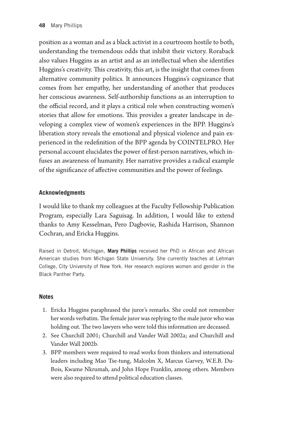position as a woman and as a black activist in a courtroom hostile to both, understanding the tremendous odds that inhibit their victory. Roraback also values Huggins as an artist and as an intellectual when she identifies Huggins's creativity. This creativity, this art, is the insight that comes from alternative community politics. It announces Huggins's cognizance that comes from her empathy, her understanding of another that produces her conscious awareness. Self-authorship functions as an interruption to the official record, and it plays a critical role when constructing women's stories that allow for emotions. This provides a greater landscape in developing a complex view of women's experiences in the BPP. Huggins's liberation story reveals the emotional and physical violence and pain experienced in the redefinition of the BPP agenda by COINTELPRO. Her personal account elucidates the power of first-person narratives, which infuses an awareness of humanity. Her narrative provides a radical example of the significance of affective communities and the power of feelings.

#### **Acknowledgments**

I would like to thank my colleagues at the Faculty Fellowship Publication Program, especially Lara Saguisag. In addition, I would like to extend thanks to Amy Kesselman, Pero Dagbovie, Rashida Harrison, Shannon Cochran, and Ericka Huggins.

Raised in Detroit, Michigan, **Mary Phillips** received her PhD in African and African American studies from Michigan State University. She currently teaches at Lehman College, City University of New York. Her research explores women and gender in the Black Panther Party.

#### **Notes**

- 1. Ericka Huggins paraphrased the juror's remarks. She could not remember her words verbatim. The female juror was replying to the male juror who was holding out. The two lawyers who were told this information are deceased.
- 2. See Churchill 2001; Churchill and Vander Wall 2002a; and Churchill and Vander Wall 2002b.
- 3. BPP members were required to read works from thinkers and international leaders including Mao Tse-tung, Malcolm X, Marcus Garvey, W.E.B. Du-Bois, Kwame Nkrumah, and John Hope Franklin, among others. Members were also required to attend political education classes.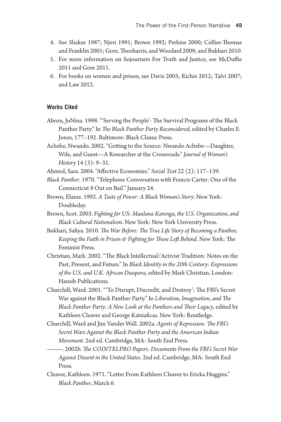- 4. See Shakur 1987; Njeri 1991; Brown 1992; Perkins 2000; Collier-Thomas and Franklin 2001; Gore, Theoharris, and Woodard 2009; and Bukhari 2010.
- 5. For more information on Sojourners For Truth and Justice, see McDuffie 2011 and Gore 2011.
- 6. For books on women and prison, see Davis 2003; Richie 2012; Talvi 2007; and Law 2012.

#### **Works Cited**

- Abron, JoNina. 1998. "'Serving the People': The Survival Programs of the Black Panther Party." In *The Black Panther Party Reconsidered*, edited by Charles E. Jones, 177–192. Baltimore: Black Classic Press.
- Achebe, Nwando. 2002. "Getting to the Source: Nwando Achebe—Daughter, Wife, and Guest—A Researcher at the Crossroads." *Journal of Women's History* 14 (3): 9–31.
- Ahmed, Sara. 2004. "Affective Economies." *Social Text* 22 (2): 117–139.
- *Black Panther*. 1970. "Telephone Conversation with Francis Carter: One of the Connecticut 8 Out on Bail." January 24.
- Brown, Elaine. 1992. *A Taste of Power: A Black Woman's Story*. New York: Doubleday.
- Brown, Scot. 2003. *Fighting for US: Maulana Karenga, the U.S. Organization, and Black Cultural Nationalism*. New York: New York University Press.
- Bukhari, Safiya. 2010. *The War Before: The True Life Story of Becoming a Panther, Keeping the Faith in Prison & Fighting for Those Left Behind.* New York: The Feminist Press.
- Christian, Mark. 2002. "The Black Intellectual/Activist Tradition: Notes on the Past, Present, and Future." In *Black Identity in the 20th Century: Expressions of the U.S. and U.K. African Diaspora*, edited by Mark Christian. London: Hansib Publications.
- Churchill, Ward. 2001. "'To Disrupt, Discredit, and Destroy': The FBI's Secret War against the Black Panther Party." In *Liberation, Imagination, and The Black Panther Party: A New Look at the Panthers and Their Legacy*, edited by Kathleen Cleaver and George Katsiaficas. New York: Routledge.
- Churchill, Ward and Jim Vander Wall. 2002a. *Agents of Repression: The FBI's Secret Wars Against the Black Panther Party and the American Indian Movement*. 2nd ed. Cambridge, MA: South End Press.
	- ———. 2002b. *The COINTELPRO Papers: Documents From the FBI's Secret War Against Dissent in the United States*. 2nd ed. Cambridge, MA: South End Press.
- Cleaver, Kathleen. 1971. "Letter From Kathleen Cleaver to Ericka Huggins." *Black Panther*, March 6.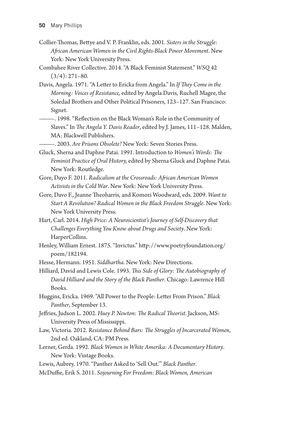- Collier-Thomas, Bettye and V. P. Franklin, eds. 2001. *Sisters in the Struggle: African American Women in the Civil Rights-Black Power Movement*. New York: New York University Press.
- Combahee River Collective. 2014. "A Black Feminist Statement." *WSQ* 42  $(3/4): 271-80.$
- Davis, Angela. 1971. "A Letter to Ericka from Angela." In *If They Come in the Morning: Voices of Resistance,* edited by Angela Davis, Ruchell Magee, the Soledad Brothers and Other Political Prisoners, 123–127. San Francisco: Signet.
	- ———. 1998. "Reflection on the Black Woman's Role in the Community of Slaves." In *The Angela Y. Davis Reader*, edited by J. James, 111–128. Malden, MA: Blackwell Publishers.
	- ———. 2003. *Are Prisons Obsolete?* New York: Seven Stories Press.
- Gluck, Sherna and Daphne Patai. 1991. Introduction to *Women's Words: The Feminist Practice of Oral History,* edited by Sherna Gluck and Daphne Patai. New York: Routledge.
- Gore, Dayo F. 2011. *Radicalism at the Crossroads: African American Women Activists in the Cold War*. New York: New York University Press.
- Gore, Davo F., Jeanne Theoharris, and Komozi Woodward, eds. 2009. *Want to Start A Revolution? Radical Women in the Black Freedom Struggle*. New York: New York University Press.
- Hart, Carl. 2014. *High Price: A Neuroscientist's Journey of Self-Discovery that Challenges Everything You Know about Drugs and Society*. New York: HarperCollins.
- Henley, William Ernest. 1875. "Invictus." http://www.poetryfoundation.org/ poem/182194.
- Hesse, Hermann. 1951. *Siddhartha*. New York: New Directions.
- Hilliard, David and Lewis Cole. 1993. *This Side of Glory: The Autobiography of David Hilliard and the Story of the Black Panther*. Chicago: Lawrence Hill Books.
- Huggins, Ericka. 1969. "All Power to the People: Letter From Prison." *Black Panther*, September 13.
- Jeffries, Judson L. 2002. *Huey P. Newton: The Radical Theorist*. Jackson, MS: University Press of Mississippi.
- Law, Victoria. 2012. *Resistance Behind Bars: The Struggles of Incarcerated Women*, 2nd ed. Oakland, CA: PM Press.
- Lerner, Gerda. 1992. *Black Women in White Amerika: A Documentary History*. New York: Vintage Books.
- Lewis, Aubrey. 1970. "Panther Asked to 'Sell Out.'" *Black Panther*.
- McDuffie, Erik S. 2011. *Sojourning For Freedom: Black Women, American*